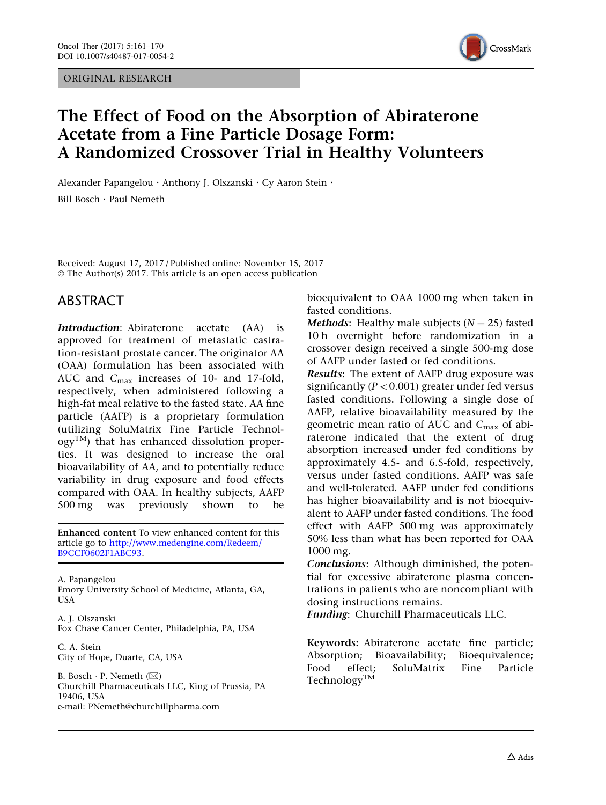ORIGINAL RESEARCH



# The Effect of Food on the Absorption of Abiraterone Acetate from a Fine Particle Dosage Form: A Randomized Crossover Trial in Healthy Volunteers

Alexander Papangelou · Anthony J. Olszanski · Cy Aaron Stein · Bill Bosch . Paul Nemeth

Received: August 17, 2017 / Published online: November 15, 2017 © The Author(s) 2017. This article is an open access publication

## ABSTRACT

Introduction: Abiraterone acetate (AA) is approved for treatment of metastatic castration-resistant prostate cancer. The originator AA (OAA) formulation has been associated with AUC and C<sub>max</sub> increases of 10- and 17-fold, respectively, when administered following a high-fat meal relative to the fasted state. AA fine particle (AAFP) is a proprietary formulation (utilizing SoluMatrix Fine Particle Technol- $\rm{ogy}^{TM}$ ) that has enhanced dissolution properties. It was designed to increase the oral bioavailability of AA, and to potentially reduce variability in drug exposure and food effects compared with OAA. In healthy subjects, AAFP 500 mg was previously shown to be

Enhanced content To view enhanced content for this article go to [http://www.medengine.com/Redeem/](http://www.medengine.com/Redeem/B9CCF0602F1ABC93) [B9CCF0602F1ABC93](http://www.medengine.com/Redeem/B9CCF0602F1ABC93).

A. Papangelou Emory University School of Medicine, Atlanta, GA, USA

A. J. Olszanski Fox Chase Cancer Center, Philadelphia, PA, USA

C. A. Stein City of Hope, Duarte, CA, USA

B. Bosch ∙ P. Nemeth (⊠) Churchill Pharmaceuticals LLC, King of Prussia, PA 19406, USA e-mail: PNemeth@churchillpharma.com

bioequivalent to OAA 1000 mg when taken in fasted conditions.

**Methods:** Healthy male subjects  $(N = 25)$  fasted 10 h overnight before randomization in a crossover design received a single 500-mg dose of AAFP under fasted or fed conditions.

Results: The extent of AAFP drug exposure was significantly ( $P < 0.001$ ) greater under fed versus fasted conditions. Following a single dose of AAFP, relative bioavailability measured by the geometric mean ratio of AUC and  $C_{\text{max}}$  of abiraterone indicated that the extent of drug absorption increased under fed conditions by approximately 4.5- and 6.5-fold, respectively, versus under fasted conditions. AAFP was safe and well-tolerated. AAFP under fed conditions has higher bioavailability and is not bioequivalent to AAFP under fasted conditions. The food effect with AAFP 500 mg was approximately 50% less than what has been reported for OAA 1000 mg.

Conclusions: Although diminished, the potential for excessive abiraterone plasma concentrations in patients who are noncompliant with dosing instructions remains.

Funding: Churchill Pharmaceuticals LLC.

Keywords: Abiraterone acetate fine particle; Absorption; Bioavailability; Bioequivalence; Food effect; SoluMatrix Fine Particle Technology<sup>TM</sup>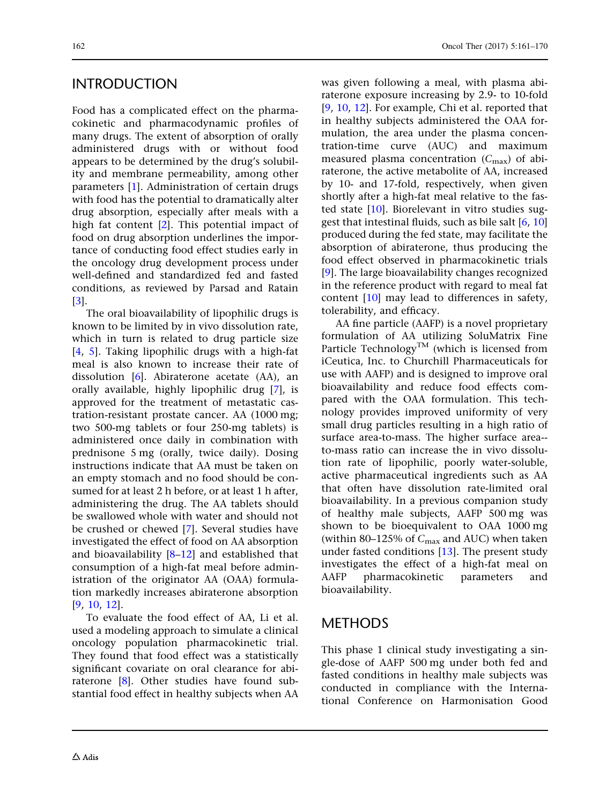## INTRODUCTION

Food has a complicated effect on the pharmacokinetic and pharmacodynamic profiles of many drugs. The extent of absorption of orally administered drugs with or without food appears to be determined by the drug's solubility and membrane permeability, among other parameters [[1\]](#page-9-0). Administration of certain drugs with food has the potential to dramatically alter drug absorption, especially after meals with a high fat content [[2](#page-9-0)]. This potential impact of food on drug absorption underlines the importance of conducting food effect studies early in the oncology drug development process under well-defined and standardized fed and fasted conditions, as reviewed by Parsad and Ratain [\[3\]](#page-9-0).

The oral bioavailability of lipophilic drugs is known to be limited by in vivo dissolution rate, which in turn is related to drug particle size [\[4,](#page-9-0) [5](#page-9-0)]. Taking lipophilic drugs with a high-fat meal is also known to increase their rate of dissolution [[6](#page-9-0)]. Abiraterone acetate (AA), an orally available, highly lipophilic drug [[7\]](#page-9-0), is approved for the treatment of metastatic castration-resistant prostate cancer. AA (1000 mg; two 500-mg tablets or four 250-mg tablets) is administered once daily in combination with prednisone 5 mg (orally, twice daily). Dosing instructions indicate that AA must be taken on an empty stomach and no food should be consumed for at least 2 h before, or at least 1 h after, administering the drug. The AA tablets should be swallowed whole with water and should not be crushed or chewed [[7](#page-9-0)]. Several studies have investigated the effect of food on AA absorption and bioavailability [[8–12\]](#page-9-0) and established that consumption of a high-fat meal before administration of the originator AA (OAA) formulation markedly increases abiraterone absorption [\[9,](#page-9-0) [10,](#page-9-0) [12](#page-9-0)].

To evaluate the food effect of AA, Li et al. used a modeling approach to simulate a clinical oncology population pharmacokinetic trial. They found that food effect was a statistically significant covariate on oral clearance for abiraterone [[8](#page-9-0)]. Other studies have found substantial food effect in healthy subjects when AA was given following a meal, with plasma abiraterone exposure increasing by 2.9- to 10-fold [\[9](#page-9-0), [10](#page-9-0), [12\]](#page-9-0). For example, Chi et al. reported that in healthy subjects administered the OAA formulation, the area under the plasma concentration-time curve (AUC) and maximum measured plasma concentration  $(C_{\text{max}})$  of abiraterone, the active metabolite of AA, increased by 10- and 17-fold, respectively, when given shortly after a high-fat meal relative to the fasted state [\[10\]](#page-9-0). Biorelevant in vitro studies suggest that intestinal fluids, such as bile salt [[6](#page-9-0), [10](#page-9-0)] produced during the fed state, may facilitate the absorption of abiraterone, thus producing the food effect observed in pharmacokinetic trials [\[9](#page-9-0)]. The large bioavailability changes recognized in the reference product with regard to meal fat content [[10](#page-9-0)] may lead to differences in safety, tolerability, and efficacy.

AA fine particle (AAFP) is a novel proprietary formulation of AA utilizing SoluMatrix Fine Particle Technology<sup>TM</sup> (which is licensed from iCeutica, Inc. to Churchill Pharmaceuticals for use with AAFP) and is designed to improve oral bioavailability and reduce food effects compared with the OAA formulation. This technology provides improved uniformity of very small drug particles resulting in a high ratio of surface area-to-mass. The higher surface area- to-mass ratio can increase the in vivo dissolution rate of lipophilic, poorly water-soluble, active pharmaceutical ingredients such as AA that often have dissolution rate-limited oral bioavailability. In a previous companion study of healthy male subjects, AAFP 500 mg was shown to be bioequivalent to OAA 1000 mg (within 80–125% of  $C_{\text{max}}$  and AUC) when taken under fasted conditions [[13](#page-9-0)]. The present study investigates the effect of a high-fat meal on AAFP pharmacokinetic parameters and bioavailability.

### **METHODS**

This phase 1 clinical study investigating a single-dose of AAFP 500 mg under both fed and fasted conditions in healthy male subjects was conducted in compliance with the International Conference on Harmonisation Good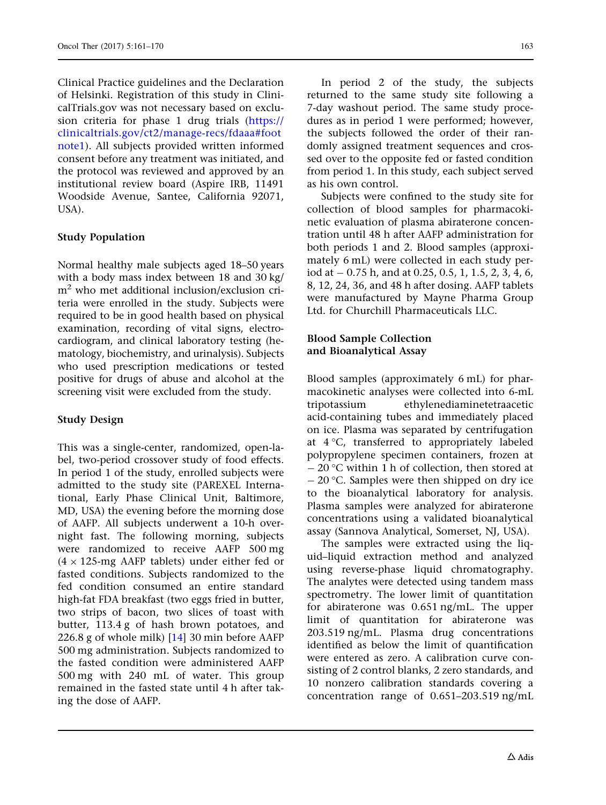Clinical Practice guidelines and the Declaration of Helsinki. Registration of this study in ClinicalTrials.gov was not necessary based on exclusion criteria for phase 1 drug trials [\(https://](https://clinicaltrials.gov/ct2/manage-recs/fdaaa%23footnote1) [clinicaltrials.gov/ct2/manage-recs/fdaaa#foot](https://clinicaltrials.gov/ct2/manage-recs/fdaaa%23footnote1) [note1\)](https://clinicaltrials.gov/ct2/manage-recs/fdaaa%23footnote1). All subjects provided written informed consent before any treatment was initiated, and the protocol was reviewed and approved by an institutional review board (Aspire IRB, 11491 Woodside Avenue, Santee, California 92071, USA).

### Study Population

Normal healthy male subjects aged 18–50 years with a body mass index between 18 and 30 kg/ m2 who met additional inclusion/exclusion criteria were enrolled in the study. Subjects were required to be in good health based on physical examination, recording of vital signs, electrocardiogram, and clinical laboratory testing (hematology, biochemistry, and urinalysis). Subjects who used prescription medications or tested positive for drugs of abuse and alcohol at the screening visit were excluded from the study.

### Study Design

This was a single-center, randomized, open-label, two-period crossover study of food effects. In period 1 of the study, enrolled subjects were admitted to the study site (PAREXEL International, Early Phase Clinical Unit, Baltimore, MD, USA) the evening before the morning dose of AAFP. All subjects underwent a 10-h overnight fast. The following morning, subjects were randomized to receive AAFP 500 mg  $(4 \times 125$ -mg AAFP tablets) under either fed or fasted conditions. Subjects randomized to the fed condition consumed an entire standard high-fat FDA breakfast (two eggs fried in butter, two strips of bacon, two slices of toast with butter, 113.4 g of hash brown potatoes, and 226.8 g of whole milk) [[14](#page-9-0)] 30 min before AAFP 500 mg administration. Subjects randomized to the fasted condition were administered AAFP 500 mg with 240 mL of water. This group remained in the fasted state until 4 h after taking the dose of AAFP.

In period 2 of the study, the subjects returned to the same study site following a 7-day washout period. The same study procedures as in period 1 were performed; however, the subjects followed the order of their randomly assigned treatment sequences and crossed over to the opposite fed or fasted condition from period 1. In this study, each subject served as his own control.

Subjects were confined to the study site for collection of blood samples for pharmacokinetic evaluation of plasma abiraterone concentration until 48 h after AAFP administration for both periods 1 and 2. Blood samples (approximately 6 mL) were collected in each study period at  $-0.75$  h, and at 0.25, 0.5, 1, 1.5, 2, 3, 4, 6, 8, 12, 24, 36, and 48 h after dosing. AAFP tablets were manufactured by Mayne Pharma Group Ltd. for Churchill Pharmaceuticals LLC.

#### Blood Sample Collection and Bioanalytical Assay

Blood samples (approximately 6 mL) for pharmacokinetic analyses were collected into 6-mL tripotassium ethylenediaminetetraacetic acid-containing tubes and immediately placed on ice. Plasma was separated by centrifugation at  $4^{\circ}$ C, transferred to appropriately labeled polypropylene specimen containers, frozen at  $-$  20 °C within 1 h of collection, then stored at  $-$  20 °C. Samples were then shipped on dry ice to the bioanalytical laboratory for analysis. Plasma samples were analyzed for abiraterone concentrations using a validated bioanalytical assay (Sannova Analytical, Somerset, NJ, USA).

The samples were extracted using the liquid–liquid extraction method and analyzed using reverse-phase liquid chromatography. The analytes were detected using tandem mass spectrometry. The lower limit of quantitation for abiraterone was 0.651 ng/mL. The upper limit of quantitation for abiraterone was 203.519 ng/mL. Plasma drug concentrations identified as below the limit of quantification were entered as zero. A calibration curve consisting of 2 control blanks, 2 zero standards, and 10 nonzero calibration standards covering a concentration range of 0.651–203.519 ng/mL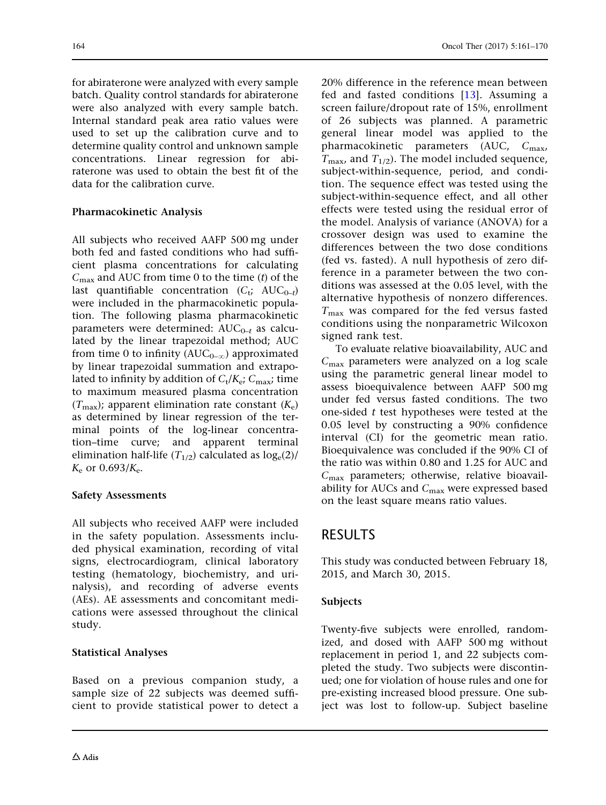for abiraterone were analyzed with every sample batch. Quality control standards for abiraterone were also analyzed with every sample batch. Internal standard peak area ratio values were used to set up the calibration curve and to determine quality control and unknown sample concentrations. Linear regression for abiraterone was used to obtain the best fit of the data for the calibration curve.

#### Pharmacokinetic Analysis

All subjects who received AAFP 500 mg under both fed and fasted conditions who had sufficient plasma concentrations for calculating  $C_{\text{max}}$  and AUC from time 0 to the time (t) of the last quantifiable concentration  $(C_t; AUC_{0-t})$ were included in the pharmacokinetic population. The following plasma pharmacokinetic parameters were determined:  $AUC_{0-t}$  as calculated by the linear trapezoidal method; AUC from time 0 to infinity  $(AUC_{0-\infty})$  approximated by linear trapezoidal summation and extrapolated to infinity by addition of  $C_t/K_e$ ;  $C_{\text{max}}$ ; time to maximum measured plasma concentration  $(T_{\text{max}})$ ; apparent elimination rate constant  $(K_e)$ as determined by linear regression of the terminal points of the log-linear concentration–time curve; and apparent terminal elimination half-life  $(T_{1/2})$  calculated as  $log_e(2)$ /  $K_e$  or 0.693/ $K_e$ .

#### Safety Assessments

All subjects who received AAFP were included in the safety population. Assessments included physical examination, recording of vital signs, electrocardiogram, clinical laboratory testing (hematology, biochemistry, and urinalysis), and recording of adverse events (AEs). AE assessments and concomitant medications were assessed throughout the clinical study.

### Statistical Analyses

Based on a previous companion study, a sample size of 22 subjects was deemed sufficient to provide statistical power to detect a 20% difference in the reference mean between fed and fasted conditions [\[13\]](#page-9-0). Assuming a screen failure/dropout rate of 15%, enrollment of 26 subjects was planned. A parametric general linear model was applied to the pharmacokinetic parameters (AUC,  $C_{\text{max}}$ ,  $T_{\text{max}}$ , and  $T_{1/2}$ ). The model included sequence, subject-within-sequence, period, and condition. The sequence effect was tested using the subject-within-sequence effect, and all other effects were tested using the residual error of the model. Analysis of variance (ANOVA) for a crossover design was used to examine the differences between the two dose conditions (fed vs. fasted). A null hypothesis of zero difference in a parameter between the two conditions was assessed at the 0.05 level, with the alternative hypothesis of nonzero differences.  $T_{\text{max}}$  was compared for the fed versus fasted conditions using the nonparametric Wilcoxon signed rank test.

To evaluate relative bioavailability, AUC and  $C_{\text{max}}$  parameters were analyzed on a log scale using the parametric general linear model to assess bioequivalence between AAFP 500 mg under fed versus fasted conditions. The two one-sided t test hypotheses were tested at the 0.05 level by constructing a 90% confidence interval (CI) for the geometric mean ratio. Bioequivalence was concluded if the 90% CI of the ratio was within 0.80 and 1.25 for AUC and  $C_{\text{max}}$  parameters; otherwise, relative bioavailability for AUCs and  $C_{\text{max}}$  were expressed based on the least square means ratio values.

## RESULTS

This study was conducted between February 18, 2015, and March 30, 2015.

#### Subjects

Twenty-five subjects were enrolled, randomized, and dosed with AAFP 500 mg without replacement in period 1, and 22 subjects completed the study. Two subjects were discontinued; one for violation of house rules and one for pre-existing increased blood pressure. One subject was lost to follow-up. Subject baseline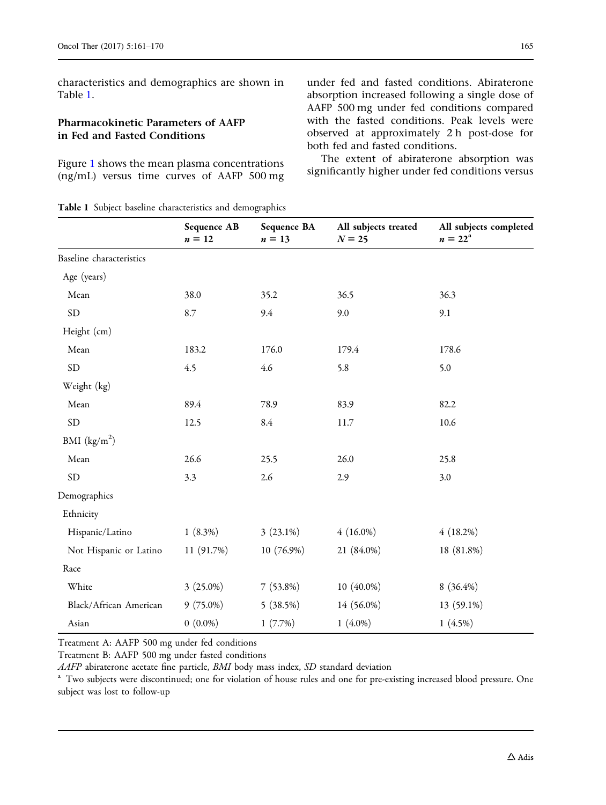characteristics and demographics are shown in Table 1.

#### Pharmacokinetic Parameters of AAFP in Fed and Fasted Conditions

Figure [1](#page-5-0) shows the mean plasma concentrations (ng/mL) versus time curves of AAFP 500 mg under fed and fasted conditions. Abiraterone absorption increased following a single dose of AAFP 500 mg under fed conditions compared with the fasted conditions. Peak levels were observed at approximately 2 h post-dose for both fed and fasted conditions.

The extent of abiraterone absorption was significantly higher under fed conditions versus

|  |  |  |  |  | Table 1 Subject baseline characteristics and demographics |
|--|--|--|--|--|-----------------------------------------------------------|
|--|--|--|--|--|-----------------------------------------------------------|

|                                 | Sequence AB<br>$n=12$ | Sequence BA<br>$n=13$ | All subjects treated<br>$N = 25$ | All subjects completed<br>$n = 22^{a}$ |
|---------------------------------|-----------------------|-----------------------|----------------------------------|----------------------------------------|
| <b>Baseline</b> characteristics |                       |                       |                                  |                                        |
| Age (years)                     |                       |                       |                                  |                                        |
| Mean                            | 38.0                  | 35.2                  | 36.5                             | 36.3                                   |
| $\rm SD$                        | 8.7                   | 9.4                   | 9.0                              | 9.1                                    |
| Height (cm)                     |                       |                       |                                  |                                        |
| Mean                            | 183.2                 | 176.0                 | 179.4                            | 178.6                                  |
| $\rm SD$                        | 4.5                   | 4.6                   | 5.8                              | 5.0                                    |
| Weight (kg)                     |                       |                       |                                  |                                        |
| Mean                            | 89.4                  | 78.9                  | 83.9                             | 82.2                                   |
| ${\rm SD}$                      | 12.5                  | 8.4                   | 11.7                             | 10.6                                   |
| BMI $(kg/m2)$                   |                       |                       |                                  |                                        |
| Mean                            | 26.6                  | 25.5                  | 26.0                             | 25.8                                   |
| <b>SD</b>                       | 3.3                   | 2.6                   | 2.9                              | 3.0                                    |
| Demographics                    |                       |                       |                                  |                                        |
| Ethnicity                       |                       |                       |                                  |                                        |
| Hispanic/Latino                 | $1(8.3\%)$            | $3(23.1\%)$           | $4(16.0\%)$                      | 4(18.2%)                               |
| Not Hispanic or Latino          | 11 (91.7%)            | 10 (76.9%)            | 21 (84.0%)                       | 18 (81.8%)                             |
| Race                            |                       |                       |                                  |                                        |
| White                           | $3(25.0\%)$           | $7(53.8\%)$           | $10(40.0\%)$                     | $8(36.4\%)$                            |
| Black/African American          | $9(75.0\%)$           | 5(38.5%)              | 14 (56.0%)                       | 13 (59.1%)                             |
| Asian                           | $0(0.0\%)$            | 1(7.7%)               | $1(4.0\%)$                       | 1(4.5%)                                |

Treatment A: AAFP 500 mg under fed conditions

Treatment B: AAFP 500 mg under fasted conditions<br>*AAFP* abiraterone acetate fine particle, *BMI* body mass index, *SD* standard deviation

<sup>a</sup> Two subjects were discontinued; one for violation of house rules and one for pre-existing increased blood pressure. One subject was lost to follow-up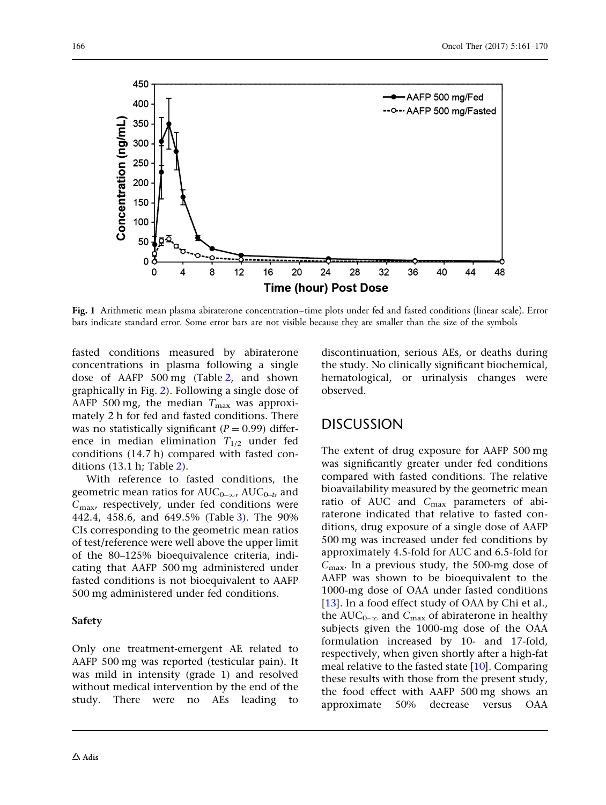<span id="page-5-0"></span>

Fig. 1 Arithmetic mean plasma abiraterone concentration–time plots under fed and fasted conditions (linear scale). Error bars indicate standard error. Some error bars are not visible because they are smaller than the size of the symbols

fasted conditions measured by abiraterone concentrations in plasma following a single dose of AAFP 500 mg (Table [2,](#page-6-0) and shown graphically in Fig. [2](#page-7-0)). Following a single dose of AAFP 500 mg, the median  $T_{\text{max}}$  was approximately 2 h for fed and fasted conditions. There was no statistically significant ( $P = 0.99$ ) difference in median elimination  $T_{1/2}$  under fed conditions (14.7 h) compared with fasted conditions (13.1 h; Table [2\)](#page-6-0).

With reference to fasted conditions, the geometric mean ratios for  $AUC_{0-\infty}$ ,  $AUC_{0-t}$ , and  $C_{\text{max}}$ , respectively, under fed conditions were 442.4, 458.6, and 649.5% (Table [3](#page-7-0)). The 90% CIs corresponding to the geometric mean ratios of test/reference were well above the upper limit of the 80–125% bioequivalence criteria, indicating that AAFP 500 mg administered under fasted conditions is not bioequivalent to AAFP 500 mg administered under fed conditions.

#### Safety

Only one treatment-emergent AE related to AAFP 500 mg was reported (testicular pain). It was mild in intensity (grade 1) and resolved without medical intervention by the end of the study. There were no AEs leading to discontinuation, serious AEs, or deaths during the study. No clinically significant biochemical, hematological, or urinalysis changes were observed.

## DISCUSSION

The extent of drug exposure for AAFP 500 mg was significantly greater under fed conditions compared with fasted conditions. The relative bioavailability measured by the geometric mean ratio of AUC and  $C_{\text{max}}$  parameters of abiraterone indicated that relative to fasted conditions, drug exposure of a single dose of AAFP 500 mg was increased under fed conditions by approximately 4.5-fold for AUC and 6.5-fold for  $C_{\text{max}}$ . In a previous study, the 500-mg dose of AAFP was shown to be bioequivalent to the 1000-mg dose of OAA under fasted conditions [\[13\]](#page-9-0). In a food effect study of OAA by Chi et al., the AUC<sub>0- $\infty$ </sub> and C<sub>max</sub> of abiraterone in healthy subjects given the 1000-mg dose of the OAA formulation increased by 10- and 17-fold, respectively, when given shortly after a high-fat meal relative to the fasted state [[10](#page-9-0)]. Comparing these results with those from the present study, the food effect with AAFP 500 mg shows an approximate 50% decrease versus OAA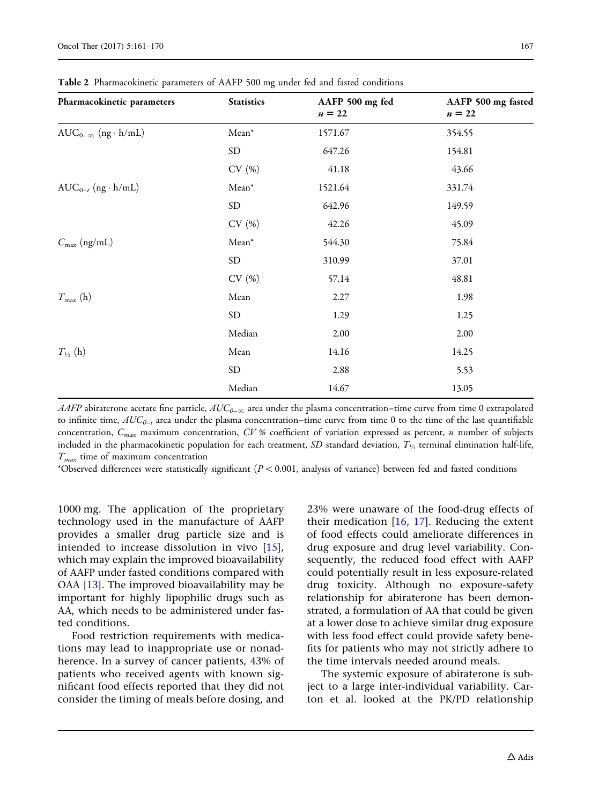| Pharmacokinetic parameters   | <b>Statistics</b> | AAFP 500 mg fed<br>$n=22$ | AAFP 500 mg fasted<br>$n=22$ |
|------------------------------|-------------------|---------------------------|------------------------------|
| $AUC_{0-\infty}$ (ng · h/mL) | $Mean*$           | 1571.67                   | 354.55                       |
|                              | ${\rm SD}$        | 647.26                    | 154.81                       |
|                              | CV(%)             | 41.18                     | 43.66                        |
| $AUC_{0-t}$ (ng · h/mL)      | $Mean*$           | 1521.64                   | 331.74                       |
|                              | <b>SD</b>         | 642.96                    | 149.59                       |
|                              | CV(%)             | 42.26                     | 45.09                        |
| $C_{\text{max}}$ (ng/mL)     | Mean*             | 544.30                    | 75.84                        |
|                              | ${\rm SD}$        | 310.99                    | 37.01                        |
|                              | CV(%)             | 57.14                     | 48.81                        |
| $T_{\text{max}}$ (h)         | Mean              | 2.27                      | 1.98                         |
|                              | <b>SD</b>         | 1.29                      | 1.25                         |
|                              | Median            | 2.00                      | 2.00                         |
| $T_{\frac{1}{2}}$ (h)        | Mean              | 14.16                     | 14.25                        |
|                              | ${\rm SD}$        | 2.88                      | 5.53                         |
|                              | Median            | 14.67                     | 13.05                        |

<span id="page-6-0"></span>Table 2 Pharmacokinetic parameters of AAFP 500 mg under fed and fasted conditions

AAFP abiraterone acetate fine particle,  $AUC_{0-\infty}$  area under the plasma concentration–time curve from time 0 extrapolated to infinite time,  $AUC_{0-t}$  area under the plasma concentration–time curve from time 0 to the time of the last quantifiable concentration,  $C_{max}$  maximum concentration,  $CV$ % coefficient of variation expressed as percent, n number of subjects included in the pharmacokinetic population for each treatment,  $\emph{SD}$  standard deviation,  $\emph{T}_{\textit{V}_{2}}$  terminal elimination half-life,  $T_{max}$  time of maximum concentration

\*Observed differences were statistically significant ( $P < 0.001$ , analysis of variance) between fed and fasted conditions

1000 mg. The application of the proprietary technology used in the manufacture of AAFP provides a smaller drug particle size and is intended to increase dissolution in vivo [[15\]](#page-9-0), which may explain the improved bioavailability of AAFP under fasted conditions compared with OAA [\[13\]](#page-9-0). The improved bioavailability may be important for highly lipophilic drugs such as AA, which needs to be administered under fasted conditions.

Food restriction requirements with medications may lead to inappropriate use or nonadherence. In a survey of cancer patients, 43% of patients who received agents with known significant food effects reported that they did not consider the timing of meals before dosing, and

23% were unaware of the food-drug effects of their medication  $[16, 17]$  $[16, 17]$  $[16, 17]$ . Reducing the extent of food effects could ameliorate differences in drug exposure and drug level variability. Consequently, the reduced food effect with AAFP could potentially result in less exposure-related drug toxicity. Although no exposure-safety relationship for abiraterone has been demonstrated, a formulation of AA that could be given at a lower dose to achieve similar drug exposure with less food effect could provide safety benefits for patients who may not strictly adhere to the time intervals needed around meals.

The systemic exposure of abiraterone is subject to a large inter-individual variability. Carton et al. looked at the PK/PD relationship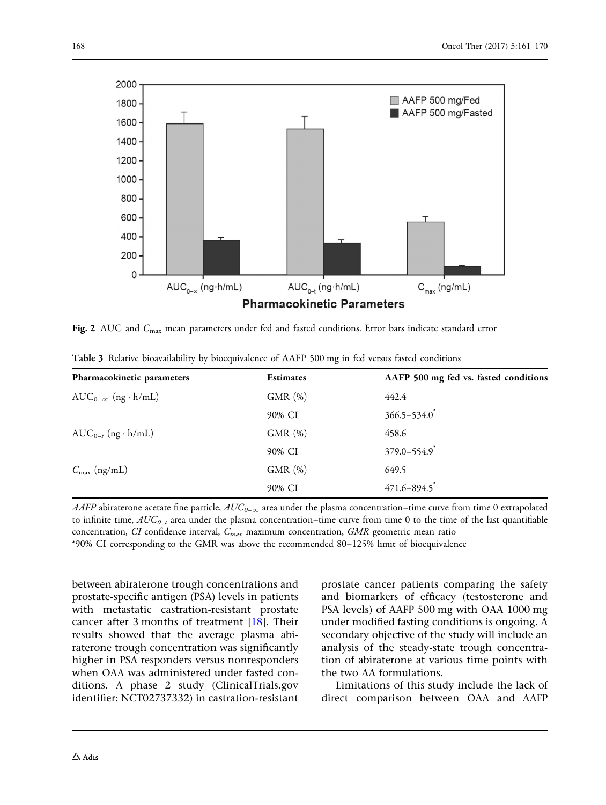<span id="page-7-0"></span>

Fig. 2 AUC and C<sub>max</sub> mean parameters under fed and fasted conditions. Error bars indicate standard error

| Pharmacokinetic parameters   | <b>Estimates</b> | AAFP 500 mg fed vs. fasted conditions |
|------------------------------|------------------|---------------------------------------|
| $AUC_{0-\infty}$ (ng · h/mL) | GMR(%)           | 442.4                                 |
|                              | 90% CI           | $366.5 - 534.0$                       |
| $AUC_{0-t}$ (ng · h/mL)      | GMR(%)           | 458.6                                 |
|                              | 90% CI           | $379.0 - 554.9$                       |
| $C_{\text{max}}$ (ng/mL)     | GMR(%)           | 649.5                                 |
|                              | 90% CI           | $471.6 - 894.5$                       |

Table 3 Relative bioavailability by bioequivalence of AAFP 500 mg in fed versus fasted conditions

AAFP abiraterone acetate fine particle,  $AUC_{0-\infty}$  area under the plasma concentration–time curve from time 0 extrapolated to infinite time,  $AUC_{0-t}$  area under the plasma concentration–time curve from time 0 to the time of the last quantifiable concentration, CI confidence interval,  $C_{max}$  maximum concentration, GMR geometric mean ratio \*90% CI corresponding to the GMR was above the recommended 80–125% limit of bioequivalence

between abiraterone trough concentrations and prostate-specific antigen (PSA) levels in patients with metastatic castration-resistant prostate cancer after 3 months of treatment [[18](#page-9-0)]. Their results showed that the average plasma abiraterone trough concentration was significantly higher in PSA responders versus nonresponders when OAA was administered under fasted conditions. A phase 2 study (ClinicalTrials.gov identifier: NCT02737332) in castration-resistant prostate cancer patients comparing the safety and biomarkers of efficacy (testosterone and PSA levels) of AAFP 500 mg with OAA 1000 mg under modified fasting conditions is ongoing. A secondary objective of the study will include an analysis of the steady-state trough concentration of abiraterone at various time points with the two AA formulations.

Limitations of this study include the lack of direct comparison between OAA and AAFP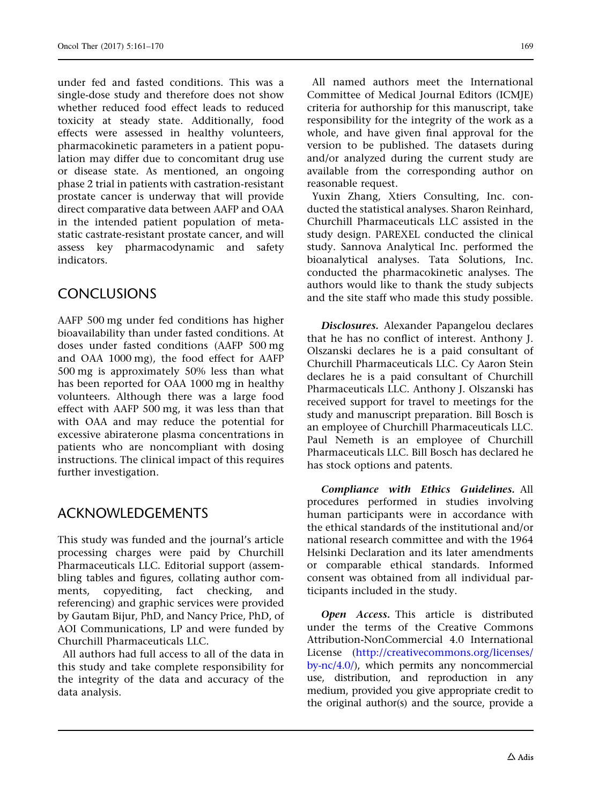under fed and fasted conditions. This was a single-dose study and therefore does not show whether reduced food effect leads to reduced toxicity at steady state. Additionally, food effects were assessed in healthy volunteers, pharmacokinetic parameters in a patient population may differ due to concomitant drug use or disease state. As mentioned, an ongoing phase 2 trial in patients with castration-resistant prostate cancer is underway that will provide direct comparative data between AAFP and OAA in the intended patient population of metastatic castrate-resistant prostate cancer, and will assess key pharmacodynamic and safety indicators.

## CONCLUSIONS

AAFP 500 mg under fed conditions has higher bioavailability than under fasted conditions. At doses under fasted conditions (AAFP 500 mg and OAA 1000 mg), the food effect for AAFP 500 mg is approximately 50% less than what has been reported for OAA 1000 mg in healthy volunteers. Although there was a large food effect with AAFP 500 mg, it was less than that with OAA and may reduce the potential for excessive abiraterone plasma concentrations in patients who are noncompliant with dosing instructions. The clinical impact of this requires further investigation.

## ACKNOWLEDGEMENTS

This study was funded and the journal's article processing charges were paid by Churchill Pharmaceuticals LLC. Editorial support (assembling tables and figures, collating author comments, copyediting, fact checking, and referencing) and graphic services were provided by Gautam Bijur, PhD, and Nancy Price, PhD, of AOI Communications, LP and were funded by Churchill Pharmaceuticals LLC.

All authors had full access to all of the data in this study and take complete responsibility for the integrity of the data and accuracy of the data analysis.

All named authors meet the International Committee of Medical Journal Editors (ICMJE) criteria for authorship for this manuscript, take responsibility for the integrity of the work as a whole, and have given final approval for the version to be published. The datasets during and/or analyzed during the current study are available from the corresponding author on reasonable request.

Yuxin Zhang, Xtiers Consulting, Inc. conducted the statistical analyses. Sharon Reinhard, Churchill Pharmaceuticals LLC assisted in the study design. PAREXEL conducted the clinical study. Sannova Analytical Inc. performed the bioanalytical analyses. Tata Solutions, Inc. conducted the pharmacokinetic analyses. The authors would like to thank the study subjects and the site staff who made this study possible.

Disclosures. Alexander Papangelou declares that he has no conflict of interest. Anthony J. Olszanski declares he is a paid consultant of Churchill Pharmaceuticals LLC. Cy Aaron Stein declares he is a paid consultant of Churchill Pharmaceuticals LLC. Anthony J. Olszanski has received support for travel to meetings for the study and manuscript preparation. Bill Bosch is an employee of Churchill Pharmaceuticals LLC. Paul Nemeth is an employee of Churchill Pharmaceuticals LLC. Bill Bosch has declared he has stock options and patents.

Compliance with Ethics Guidelines. All procedures performed in studies involving human participants were in accordance with the ethical standards of the institutional and/or national research committee and with the 1964 Helsinki Declaration and its later amendments or comparable ethical standards. Informed consent was obtained from all individual participants included in the study.

Open Access. This article is distributed under the terms of the Creative Commons Attribution-NonCommercial 4.0 International License ([http://creativecommons.org/licenses/](http://creativecommons.org/licenses/by-nc/4.0/) [by-nc/4.0/](http://creativecommons.org/licenses/by-nc/4.0/)), which permits any noncommercial use, distribution, and reproduction in any medium, provided you give appropriate credit to the original author(s) and the source, provide a